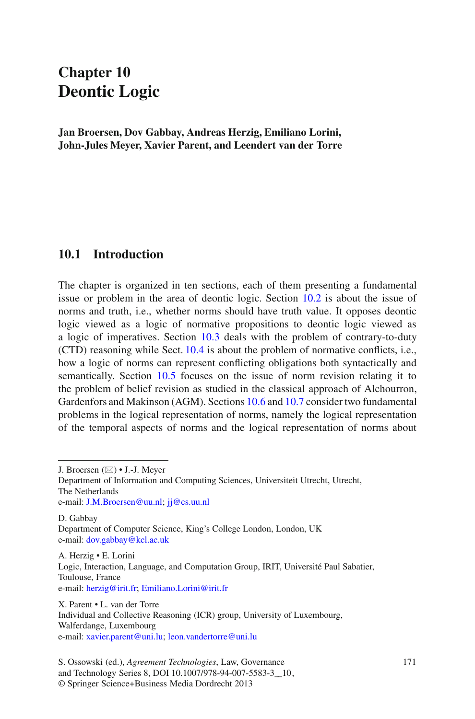# **Chapter 10 Deontic Logic**

**Jan Broersen, Dov Gabbay, Andreas Herzig, Emiliano Lorini, John-Jules Meyer, Xavier Parent, and Leendert van der Torre**

# **10.1 Introduction**

The chapter is organized in ten sections, each of them presenting a fundamental issue or problem in the area of deontic logic. Section 10.2 is about the issue of norms and truth, i.e., whether norms should have truth value. It opposes deontic logic viewed as a logic of normative propositions to deontic logic viewed as a logic of imperatives. Section 10.3 deals with the problem of contrary-to-duty (CTD) reasoning while Sect. 10.4 is about the problem of normative conflicts, i.e., how a logic of norms can represent conflicting obligations both syntactically and semantically. Section 10.5 focuses on the issue of norm revision relating it to the problem of belief revision as studied in the classical approach of Alchourron, Gardenfors and Makinson (AGM). Sections 10.6 and 10.7 consider two fundamental problems in the logical representation of norms, namely the logical representation of the temporal aspects of norms and the logical representation of norms about

J. Broersen (⊠) • J.-J. Meyer

e-mail: J.M.Broersen@uu.nl; jj@cs.uu.nl

D. Gabbay Department of Computer Science, King's College London, London, UK e-mail: dov.gabbay@kcl.ac.uk

A. Herzig • E. Lorini Logic, Interaction, Language, and Computation Group, IRIT, Université Paul Sabatier, Toulouse, France e-mail: herzig@irit.fr; Emiliano.Lorini@irit.fr

X. Parent • L. van der Torre Individual and Collective Reasoning (ICR) group, University of Luxembourg, Walferdange, Luxembourg e-mail: xavier.parent@uni.lu; leon.vandertorre@uni.lu

Department of Information and Computing Sciences, Universiteit Utrecht, Utrecht, The Netherlands

S. Ossowski (ed.), *Agreement Technologies*, Law, Governance and Technology Series 8, DOI 10.1007/978-94-007-5583-3\_\_10, © Springer Science+Business Media Dordrecht 2013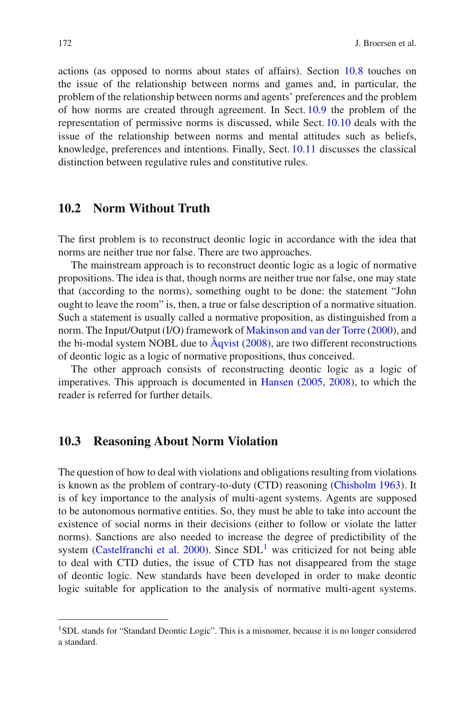actions (as opposed to norms about states of affairs). Section 10.8 touches on the issue of the relationship between norms and games and, in particular, the problem of the relationship between norms and agents' preferences and the problem of how norms are created through agreement. In Sect. 10.9 the problem of the representation of permissive norms is discussed, while Sect. 10.10 deals with the issue of the relationship between norms and mental attitudes such as beliefs, knowledge, preferences and intentions. Finally, Sect. 10.11 discusses the classical distinction between regulative rules and constitutive rules.

## **10.2 Norm Without Truth**

The first problem is to reconstruct deontic logic in accordance with the idea that norms are neither true nor false. There are two approaches.

The mainstream approach is to reconstruct deontic logic as a logic of normative propositions. The idea is that, though norms are neither true nor false, one may state that (according to the norms), something ought to be done: the statement "John ought to leave the room" is, then, a true or false description of a normative situation. Such a statement is usually called a normative proposition, as distinguished from a norm. The Input/Output (I/O) framework of Makinson and van der Torre (2000), and the bi-modal system NOBL due to  $\text{\AA }q\text{v}$  (2008), are two different reconstructions of deontic logic as a logic of normative propositions, thus conceived.

The other approach consists of reconstructing deontic logic as a logic of imperatives. This approach is documented in Hansen (2005, 2008), to which the reader is referred for further details.

## **10.3 Reasoning About Norm Violation**

The question of how to deal with violations and obligations resulting from violations is known as the problem of contrary-to-duty (CTD) reasoning (Chisholm 1963). It is of key importance to the analysis of multi-agent systems. Agents are supposed to be autonomous normative entities. So, they must be able to take into account the existence of social norms in their decisions (either to follow or violate the latter norms). Sanctions are also needed to increase the degree of predictibility of the system (Castelfranchi et al. 2000). Since  $SDL<sup>1</sup>$  was criticized for not being able to deal with CTD duties, the issue of CTD has not disappeared from the stage of deontic logic. New standards have been developed in order to make deontic logic suitable for application to the analysis of normative multi-agent systems.

<sup>&</sup>lt;sup>1</sup>SDL stands for "Standard Deontic Logic". This is a misnomer, because it is no longer considered a standard.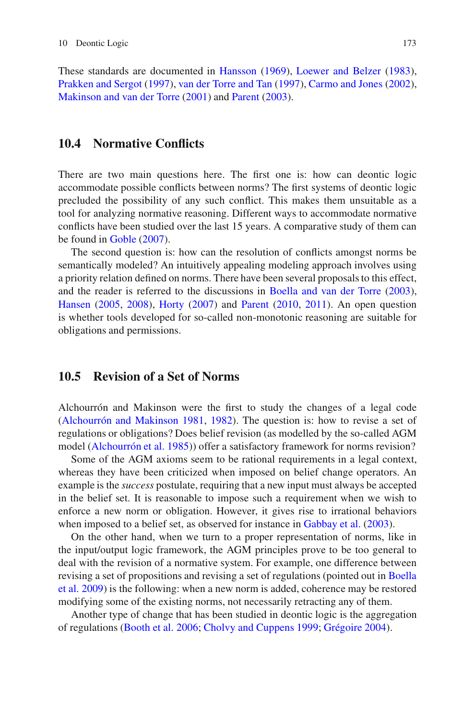These standards are documented in Hansson (1969), Loewer and Belzer (1983), Prakken and Sergot (1997), van der Torre and Tan (1997), Carmo and Jones (2002), Makinson and van der Torre (2001) and Parent (2003).

# **10.4 Normative Conflicts**

There are two main questions here. The first one is: how can deontic logic accommodate possible conflicts between norms? The first systems of deontic logic precluded the possibility of any such conflict. This makes them unsuitable as a tool for analyzing normative reasoning. Different ways to accommodate normative conflicts have been studied over the last 15 years. A comparative study of them can be found in Goble (2007).

The second question is: how can the resolution of conflicts amongst norms be semantically modeled? An intuitively appealing modeling approach involves using a priority relation defined on norms. There have been several proposals to this effect, and the reader is referred to the discussions in Boella and van der Torre (2003), Hansen (2005, 2008), Horty (2007) and Parent (2010, 2011). An open question is whether tools developed for so-called non-monotonic reasoning are suitable for obligations and permissions.

## **10.5 Revision of a Set of Norms**

Alchourrón and Makinson were the first to study the changes of a legal code (Alchourrón and Makinson 1981, 1982). The question is: how to revise a set of regulations or obligations? Does belief revision (as modelled by the so-called AGM model (Alchourrón et al. 1985)) offer a satisfactory framework for norms revision?

Some of the AGM axioms seem to be rational requirements in a legal context, whereas they have been criticized when imposed on belief change operators. An example is the *success* postulate, requiring that a new input must always be accepted in the belief set. It is reasonable to impose such a requirement when we wish to enforce a new norm or obligation. However, it gives rise to irrational behaviors when imposed to a belief set, as observed for instance in Gabbay et al. (2003).

On the other hand, when we turn to a proper representation of norms, like in the input/output logic framework, the AGM principles prove to be too general to deal with the revision of a normative system. For example, one difference between revising a set of propositions and revising a set of regulations (pointed out in Boella et al. 2009) is the following: when a new norm is added, coherence may be restored modifying some of the existing norms, not necessarily retracting any of them.

Another type of change that has been studied in deontic logic is the aggregation of regulations (Booth et al. 2006; Cholvy and Cuppens 1999; Grégoire 2004).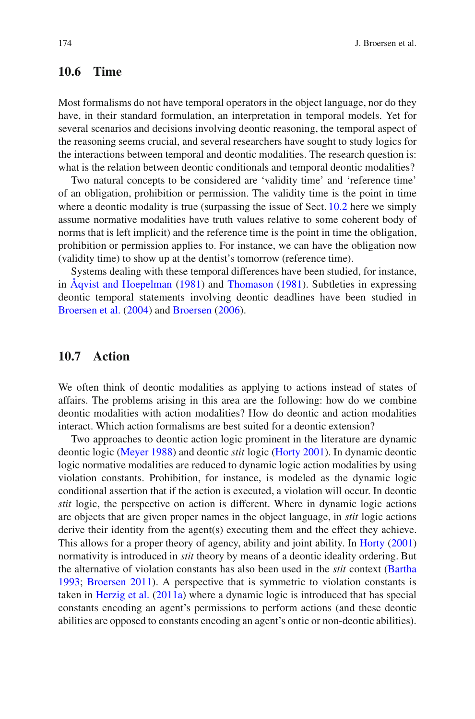## **10.6 Time**

Most formalisms do not have temporal operators in the object language, nor do they have, in their standard formulation, an interpretation in temporal models. Yet for several scenarios and decisions involving deontic reasoning, the temporal aspect of the reasoning seems crucial, and several researchers have sought to study logics for the interactions between temporal and deontic modalities. The research question is: what is the relation between deontic conditionals and temporal deontic modalities?

Two natural concepts to be considered are 'validity time' and 'reference time' of an obligation, prohibition or permission. The validity time is the point in time where a deontic modality is true (surpassing the issue of Sect. 10.2 here we simply assume normative modalities have truth values relative to some coherent body of norms that is left implicit) and the reference time is the point in time the obligation, prohibition or permission applies to. For instance, we can have the obligation now (validity time) to show up at the dentist's tomorrow (reference time).

Systems dealing with these temporal differences have been studied, for instance, in Åqvist and Hoepelman (1981) and Thomason (1981). Subtleties in expressing deontic temporal statements involving deontic deadlines have been studied in Broersen et al. (2004) and Broersen (2006).

# **10.7 Action**

We often think of deontic modalities as applying to actions instead of states of affairs. The problems arising in this area are the following: how do we combine deontic modalities with action modalities? How do deontic and action modalities interact. Which action formalisms are best suited for a deontic extension?

Two approaches to deontic action logic prominent in the literature are dynamic deontic logic (Meyer 1988) and deontic *stit* logic (Horty 2001). In dynamic deontic logic normative modalities are reduced to dynamic logic action modalities by using violation constants. Prohibition, for instance, is modeled as the dynamic logic conditional assertion that if the action is executed, a violation will occur. In deontic *stit* logic, the perspective on action is different. Where in dynamic logic actions are objects that are given proper names in the object language, in *stit* logic actions derive their identity from the agent(s) executing them and the effect they achieve. This allows for a proper theory of agency, ability and joint ability. In Horty (2001) normativity is introduced in *stit* theory by means of a deontic ideality ordering. But the alternative of violation constants has also been used in the *stit* context (Bartha 1993; Broersen 2011). A perspective that is symmetric to violation constants is taken in Herzig et al. (2011a) where a dynamic logic is introduced that has special constants encoding an agent's permissions to perform actions (and these deontic abilities are opposed to constants encoding an agent's ontic or non-deontic abilities).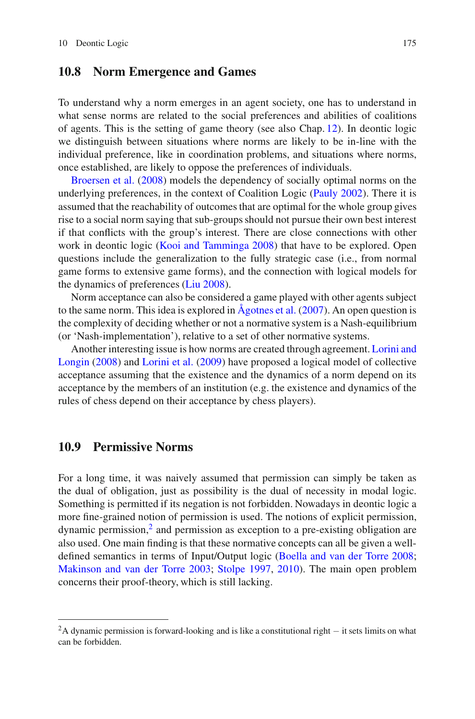## **10.8 Norm Emergence and Games**

To understand why a norm emerges in an agent society, one has to understand in what sense norms are related to the social preferences and abilities of coalitions of agents. This is the setting of game theory (see also Chap. 12). In deontic logic we distinguish between situations where norms are likely to be in-line with the individual preference, like in coordination problems, and situations where norms, once established, are likely to oppose the preferences of individuals.

Broersen et al. (2008) models the dependency of socially optimal norms on the underlying preferences, in the context of Coalition Logic (Pauly 2002). There it is assumed that the reachability of outcomes that are optimal for the whole group gives rise to a social norm saying that sub-groups should not pursue their own best interest if that conflicts with the group's interest. There are close connections with other work in deontic logic (Kooi and Tamminga 2008) that have to be explored. Open questions include the generalization to the fully strategic case (i.e., from normal game forms to extensive game forms), and the connection with logical models for the dynamics of preferences (Liu 2008).

Norm acceptance can also be considered a game played with other agents subject to the same norm. This idea is explored in Ågotnes et al. (2007). An open question is the complexity of deciding whether or not a normative system is a Nash-equilibrium (or 'Nash-implementation'), relative to a set of other normative systems.

Another interesting issue is how norms are created through agreement. Lorini and Longin (2008) and Lorini et al. (2009) have proposed a logical model of collective acceptance assuming that the existence and the dynamics of a norm depend on its acceptance by the members of an institution (e.g. the existence and dynamics of the rules of chess depend on their acceptance by chess players).

# **10.9 Permissive Norms**

For a long time, it was naively assumed that permission can simply be taken as the dual of obligation, just as possibility is the dual of necessity in modal logic. Something is permitted if its negation is not forbidden. Nowadays in deontic logic a more fine-grained notion of permission is used. The notions of explicit permission, dynamic permission, $<sup>2</sup>$  and permission as exception to a pre-existing obligation are</sup> also used. One main finding is that these normative concepts can all be given a welldefined semantics in terms of Input/Output logic (Boella and van der Torre 2008; Makinson and van der Torre 2003; Stolpe 1997, 2010). The main open problem concerns their proof-theory, which is still lacking.

<sup>2</sup>A dynamic permission is forward-looking and is like a constitutional right − it sets limits on what can be forbidden.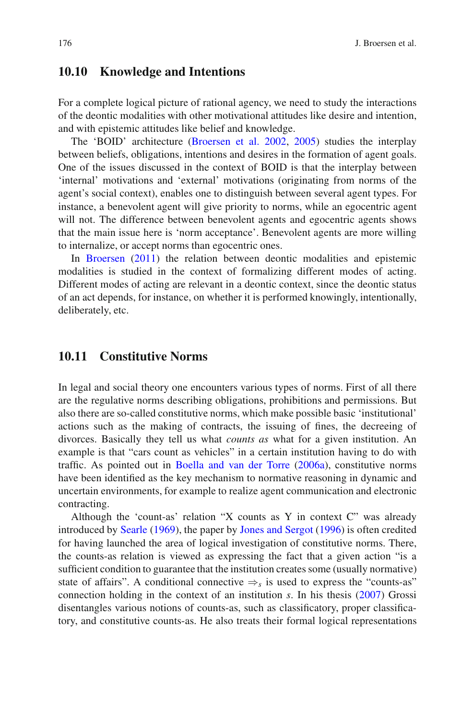## **10.10 Knowledge and Intentions**

For a complete logical picture of rational agency, we need to study the interactions of the deontic modalities with other motivational attitudes like desire and intention, and with epistemic attitudes like belief and knowledge.

The 'BOID' architecture (Broersen et al. 2002, 2005) studies the interplay between beliefs, obligations, intentions and desires in the formation of agent goals. One of the issues discussed in the context of BOID is that the interplay between 'internal' motivations and 'external' motivations (originating from norms of the agent's social context), enables one to distinguish between several agent types. For instance, a benevolent agent will give priority to norms, while an egocentric agent will not. The difference between benevolent agents and egocentric agents shows that the main issue here is 'norm acceptance'. Benevolent agents are more willing to internalize, or accept norms than egocentric ones.

In Broersen (2011) the relation between deontic modalities and epistemic modalities is studied in the context of formalizing different modes of acting. Different modes of acting are relevant in a deontic context, since the deontic status of an act depends, for instance, on whether it is performed knowingly, intentionally, deliberately, etc.

# **10.11 Constitutive Norms**

In legal and social theory one encounters various types of norms. First of all there are the regulative norms describing obligations, prohibitions and permissions. But also there are so-called constitutive norms, which make possible basic 'institutional' actions such as the making of contracts, the issuing of fines, the decreeing of divorces. Basically they tell us what *counts as* what for a given institution. An example is that "cars count as vehicles" in a certain institution having to do with traffic. As pointed out in Boella and van der Torre (2006a), constitutive norms have been identified as the key mechanism to normative reasoning in dynamic and uncertain environments, for example to realize agent communication and electronic contracting.

Although the 'count-as' relation "X counts as Y in context C" was already introduced by Searle (1969), the paper by Jones and Sergot (1996) is often credited for having launched the area of logical investigation of constitutive norms. There, the counts-as relation is viewed as expressing the fact that a given action "is a sufficient condition to guarantee that the institution creates some (usually normative) state of affairs". A conditional connective  $\Rightarrow$ <sub>s</sub> is used to express the "counts-as" connection holding in the context of an institution *s*. In his thesis (2007) Grossi disentangles various notions of counts-as, such as classificatory, proper classificatory, and constitutive counts-as. He also treats their formal logical representations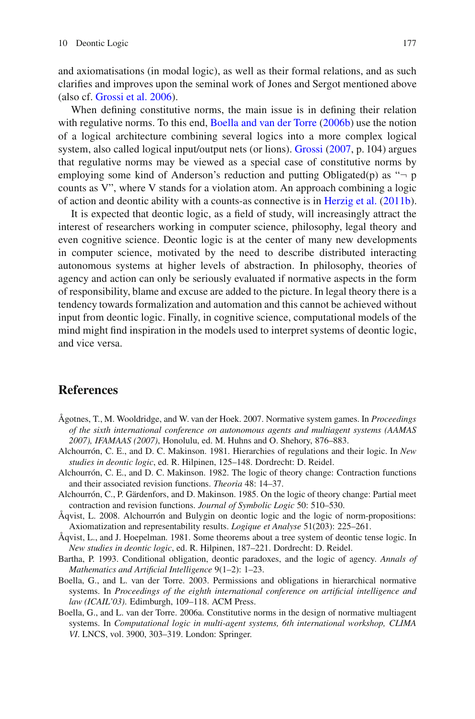and axiomatisations (in modal logic), as well as their formal relations, and as such clarifies and improves upon the seminal work of Jones and Sergot mentioned above (also cf. Grossi et al. 2006).

When defining constitutive norms, the main issue is in defining their relation with regulative norms. To this end, Boella and van der Torre (2006b) use the notion of a logical architecture combining several logics into a more complex logical system, also called logical input/output nets (or lions). Grossi (2007, p. 104) argues that regulative norms may be viewed as a special case of constitutive norms by employing some kind of Anderson's reduction and putting Obligated(p) as " $\neg$  p counts as V", where V stands for a violation atom. An approach combining a logic of action and deontic ability with a counts-as connective is in Herzig et al. (2011b).

It is expected that deontic logic, as a field of study, will increasingly attract the interest of researchers working in computer science, philosophy, legal theory and even cognitive science. Deontic logic is at the center of many new developments in computer science, motivated by the need to describe distributed interacting autonomous systems at higher levels of abstraction. In philosophy, theories of agency and action can only be seriously evaluated if normative aspects in the form of responsibility, blame and excuse are added to the picture. In legal theory there is a tendency towards formalization and automation and this cannot be achieved without input from deontic logic. Finally, in cognitive science, computational models of the mind might find inspiration in the models used to interpret systems of deontic logic, and vice versa.

# **References**

- Ågotnes, T., M. Wooldridge, and W. van der Hoek. 2007. Normative system games. In *Proceedings of the sixth international conference on autonomous agents and multiagent systems (AAMAS 2007), IFAMAAS (2007)*, Honolulu, ed. M. Huhns and O. Shehory, 876–883.
- Alchourrón, C. E., and D. C. Makinson. 1981. Hierarchies of regulations and their logic. In *New studies in deontic logic*, ed. R. Hilpinen, 125–148. Dordrecht: D. Reidel.
- Alchourrón, C. E., and D. C. Makinson. 1982. The logic of theory change: Contraction functions and their associated revision functions. *Theoria* 48: 14–37.
- Alchourrón, C., P. Gärdenfors, and D. Makinson. 1985. On the logic of theory change: Partial meet contraction and revision functions. *Journal of Symbolic Logic* 50: 510–530.
- Åqvist, L. 2008. Alchourrón and Bulygin on deontic logic and the logic of norm-propositions: Axiomatization and representability results. *Logique et Analyse* 51(203): 225–261.
- Åqvist, L., and J. Hoepelman. 1981. Some theorems about a tree system of deontic tense logic. In *New studies in deontic logic*, ed. R. Hilpinen, 187–221. Dordrecht: D. Reidel.
- Bartha, P. 1993. Conditional obligation, deontic paradoxes, and the logic of agency. *Annals of Mathematics and Artificial Intelligence* 9(1–2): 1–23.
- Boella, G., and L. van der Torre. 2003. Permissions and obligations in hierarchical normative systems. In *Proceedings of the eighth international conference on artificial intelligence and law (ICAIL'03)*. Edimburgh, 109–118. ACM Press.
- Boella, G., and L. van der Torre. 2006a. Constitutive norms in the design of normative multiagent systems. In *Computational logic in multi-agent systems, 6th international workshop, CLIMA VI*. LNCS, vol. 3900, 303–319. London: Springer.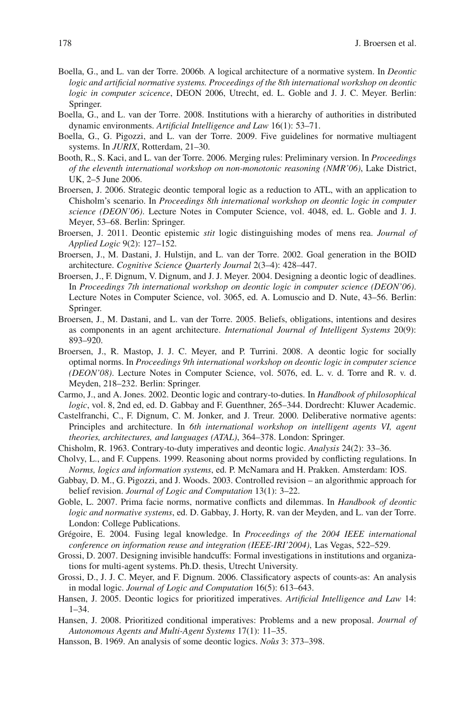- Boella, G., and L. van der Torre. 2006b. A logical architecture of a normative system. In *Deontic logic and artificial normative systems. Proceedings of the 8th international workshop on deontic logic in computer scicence*, DEON 2006, Utrecht, ed. L. Goble and J. J. C. Meyer. Berlin: Springer.
- Boella, G., and L. van der Torre. 2008. Institutions with a hierarchy of authorities in distributed dynamic environments. *Artificial Intelligence and Law* 16(1): 53–71.
- Boella, G., G. Pigozzi, and L. van der Torre. 2009. Five guidelines for normative multiagent systems. In *JURIX*, Rotterdam, 21–30.
- Booth, R., S. Kaci, and L. van der Torre. 2006. Merging rules: Preliminary version. In *Proceedings of the eleventh international workshop on non-monotonic reasoning (NMR'06)*, Lake District, UK, 2–5 June 2006.
- Broersen, J. 2006. Strategic deontic temporal logic as a reduction to ATL, with an application to Chisholm's scenario. In *Proceedings 8th international workshop on deontic logic in computer science (DEON'06)*. Lecture Notes in Computer Science, vol. 4048, ed. L. Goble and J. J. Meyer, 53–68. Berlin: Springer.
- Broersen, J. 2011. Deontic epistemic *stit* logic distinguishing modes of mens rea. *Journal of Applied Logic* 9(2): 127–152.
- Broersen, J., M. Dastani, J. Hulstijn, and L. van der Torre. 2002. Goal generation in the BOID architecture. *Cognitive Science Quarterly Journal* 2(3–4): 428–447.
- Broersen, J., F. Dignum, V. Dignum, and J. J. Meyer. 2004. Designing a deontic logic of deadlines. In *Proceedings 7th international workshop on deontic logic in computer science (DEON'06)*. Lecture Notes in Computer Science, vol. 3065, ed. A. Lomuscio and D. Nute, 43–56. Berlin: Springer.
- Broersen, J., M. Dastani, and L. van der Torre. 2005. Beliefs, obligations, intentions and desires as components in an agent architecture. *International Journal of Intelligent Systems* 20(9): 893–920.
- Broersen, J., R. Mastop, J. J. C. Meyer, and P. Turrini. 2008. A deontic logic for socially optimal norms. In *Proceedings 9th international workshop on deontic logic in computer science (DEON'08)*. Lecture Notes in Computer Science, vol. 5076, ed. L. v. d. Torre and R. v. d. Meyden, 218–232. Berlin: Springer.
- Carmo, J., and A. Jones. 2002. Deontic logic and contrary-to-duties. In *Handbook of philosophical logic*, vol. 8, 2nd ed, ed. D. Gabbay and F. Guenthner, 265–344. Dordrecht: Kluwer Academic.
- Castelfranchi, C., F. Dignum, C. M. Jonker, and J. Treur. 2000. Deliberative normative agents: Principles and architecture. In *6th international workshop on intelligent agents VI, agent theories, architectures, and languages (ATAL)*, 364–378. London: Springer.
- Chisholm, R. 1963. Contrary-to-duty imperatives and deontic logic. *Analysis* 24(2): 33–36.
- Cholvy, L., and F. Cuppens. 1999. Reasoning about norms provided by conflicting regulations. In *Norms, logics and information systems*, ed. P. McNamara and H. Prakken. Amsterdam: IOS.
- Gabbay, D. M., G. Pigozzi, and J. Woods. 2003. Controlled revision an algorithmic approach for belief revision. *Journal of Logic and Computation* 13(1): 3–22.
- Goble, L. 2007. Prima facie norms, normative conflicts and dilemmas. In *Handbook of deontic logic and normative systems*, ed. D. Gabbay, J. Horty, R. van der Meyden, and L. van der Torre. London: College Publications.
- Grégoire, E. 2004. Fusing legal knowledge. In *Proceedings of the 2004 IEEE international conference on information reuse and integration (IEEE-IRI'2004)*, Las Vegas, 522–529.
- Grossi, D. 2007. Designing invisible handcuffs: Formal investigations in institutions and organizations for multi-agent systems. Ph.D. thesis, Utrecht University.
- Grossi, D., J. J. C. Meyer, and F. Dignum. 2006. Classificatory aspects of counts-as: An analysis in modal logic. *Journal of Logic and Computation* 16(5): 613–643.
- Hansen, J. 2005. Deontic logics for prioritized imperatives. *Artificial Intelligence and Law* 14: 1–34.
- Hansen, J. 2008. Prioritized conditional imperatives: Problems and a new proposal. *Journal of Autonomous Agents and Multi-Agent Systems* 17(1): 11–35.
- Hansson, B. 1969. An analysis of some deontic logics. *Noûs* 3: 373–398.